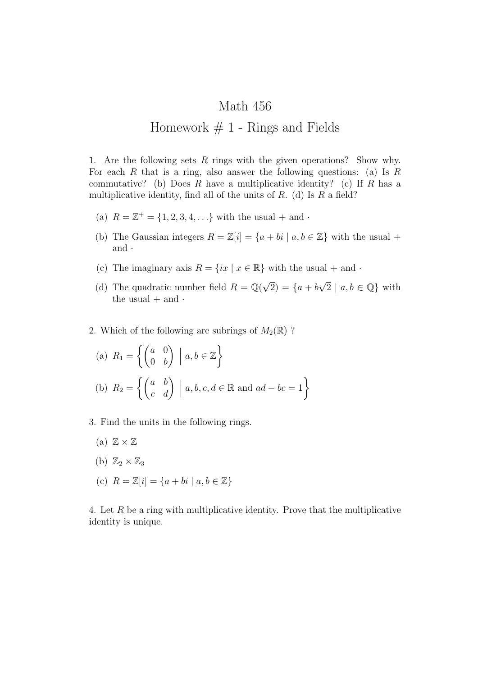## Math 456 Homework  $# 1$  - Rings and Fields

1. Are the following sets *R* rings with the given operations? Show why. For each *R* that is a ring, also answer the following questions: (a) Is *R* commutative? (b) Does *R* have a multiplicative identity? (c) If *R* has a multiplicative identity, find all of the units of *R*. (d) Is *R* a field?

- (a)  $R = \mathbb{Z}^+ = \{1, 2, 3, 4, ...\}$  with the usual + and *·*
- (b) The Gaussian integers  $R = \mathbb{Z}[i] = \{a + bi \mid a, b \in \mathbb{Z}\}\)$  with the usual + and *·*
- (c) The imaginary axis  $R = \{ix \mid x \in \mathbb{R}\}\$  with the usual  $+$  and  $\cdot$
- (d) The quadratic number field  $R = \mathbb{Q}$ *√*  $(2) = \{a + b\}$ *√*  $2 | a, b \in \mathbb{Q}$ } with the usual  $+$  and  $\cdot$
- 2. Which of the following are subrings of  $M_2(\mathbb{R})$ ?

(a) 
$$
R_1 = \left\{ \begin{pmatrix} a & 0 \\ 0 & b \end{pmatrix} \mid a, b \in \mathbb{Z} \right\}
$$
  
\n(b)  $R_2 = \left\{ \begin{pmatrix} a & b \\ c & d \end{pmatrix} \mid a, b, c, d \in \mathbb{R} \text{ and } ad - bc = 1 \right\}$ 

- 3. Find the units in the following rings.
	- (a)  $\mathbb{Z} \times \mathbb{Z}$
	- (b)  $\mathbb{Z}_2 \times \mathbb{Z}_3$
	- (c) *R* = Z[*i*] = *{a* + *bi | a, b ∈* Z*}*

4. Let *R* be a ring with multiplicative identity. Prove that the multiplicative identity is unique.